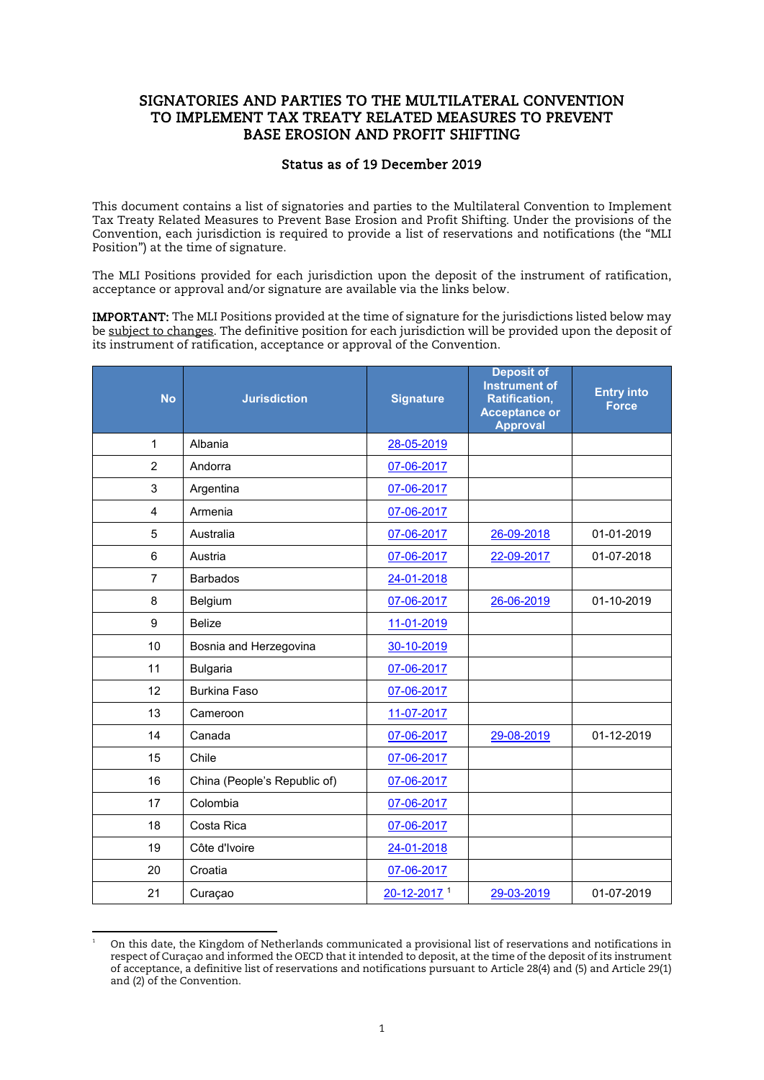## SIGNATORIES AND PARTIES TO THE MULTILATERAL CONVENTION TO IMPLEMENT TAX TREATY RELATED MEASURES TO PREVENT BASE EROSION AND PROFIT SHIFTING

## Status as of 19 December 2019

This document contains a list of signatories and parties to the Multilateral Convention to Implement Tax Treaty Related Measures to Prevent Base Erosion and Profit Shifting. Under the provisions of the Convention, each jurisdiction is required to provide a list of reservations and notifications (the "MLI Position") at the time of signature.

The MLI Positions provided for each jurisdiction upon the deposit of the instrument of ratification, acceptance or approval and/or signature are available via the links below.

IMPORTANT: The MLI Positions provided at the time of signature for the jurisdictions listed below may be subject to changes. The definitive position for each jurisdiction will be provided upon the deposit of its instrument of ratification, acceptance or approval of the Convention.

| <b>No</b>      | <b>Jurisdiction</b>          | <b>Signature</b>        | <b>Deposit of</b><br><b>Instrument of</b><br>Ratification,<br><b>Acceptance or</b><br><b>Approval</b> | <b>Entry into</b><br><b>Force</b> |
|----------------|------------------------------|-------------------------|-------------------------------------------------------------------------------------------------------|-----------------------------------|
| 1              | Albania                      | 28-05-2019              |                                                                                                       |                                   |
| $\overline{2}$ | Andorra                      | 07-06-2017              |                                                                                                       |                                   |
| 3              | Argentina                    | 07-06-2017              |                                                                                                       |                                   |
| 4              | Armenia                      | 07-06-2017              |                                                                                                       |                                   |
| 5              | Australia                    | 07-06-2017              | 26-09-2018                                                                                            | 01-01-2019                        |
| 6              | Austria                      | 07-06-2017              | 22-09-2017                                                                                            | 01-07-2018                        |
| $\overline{7}$ | <b>Barbados</b>              | 24-01-2018              |                                                                                                       |                                   |
| 8              | Belgium                      | 07-06-2017              | 26-06-2019                                                                                            | 01-10-2019                        |
| 9              | <b>Belize</b>                | 11-01-2019              |                                                                                                       |                                   |
| 10             | Bosnia and Herzegovina       | 30-10-2019              |                                                                                                       |                                   |
| 11             | <b>Bulgaria</b>              | 07-06-2017              |                                                                                                       |                                   |
| 12             | <b>Burkina Faso</b>          | 07-06-2017              |                                                                                                       |                                   |
| 13             | Cameroon                     | 11-07-2017              |                                                                                                       |                                   |
| 14             | Canada                       | 07-06-2017              | 29-08-2019                                                                                            | 01-12-2019                        |
| 15             | Chile                        | 07-06-2017              |                                                                                                       |                                   |
| 16             | China (People's Republic of) | 07-06-2017              |                                                                                                       |                                   |
| 17             | Colombia                     | 07-06-2017              |                                                                                                       |                                   |
| 18             | Costa Rica                   | 07-06-2017              |                                                                                                       |                                   |
| 19             | Côte d'Ivoire                | 24-01-2018              |                                                                                                       |                                   |
| 20             | Croatia                      | 07-06-2017              |                                                                                                       |                                   |
| 21             | Curaçao                      | 20-12-2017 <sup>1</sup> | 29-03-2019                                                                                            | 01-07-2019                        |

<span id="page-0-0"></span><sup>-</sup>1 On this date, the Kingdom of Netherlands communicated a provisional list of reservations and notifications in respect of Curaçao and informed the OECD that it intended to deposit, at the time of the deposit of its instrument of acceptance, a definitive list of reservations and notifications pursuant to Article 28(4) and (5) and Article 29(1) and (2) of the Convention.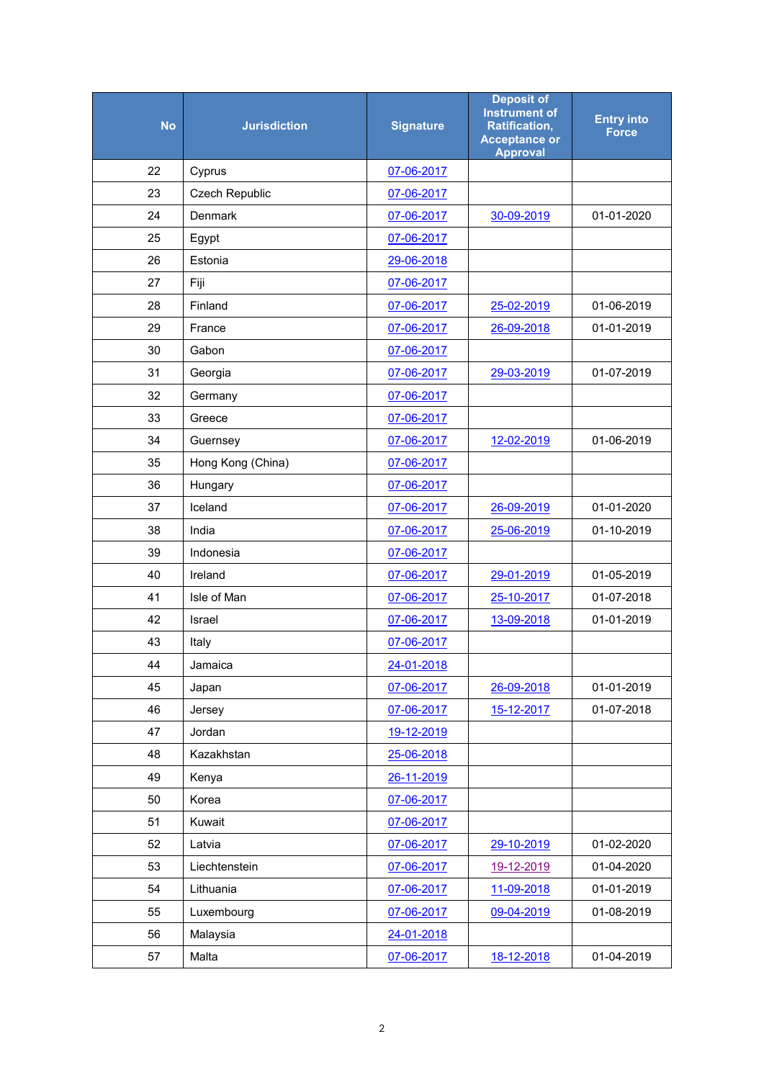| <b>No</b> | <b>Jurisdiction</b> | <b>Signature</b> | <b>Deposit of</b><br><b>Instrument of</b><br><b>Ratification,</b><br><b>Acceptance or</b><br><b>Approval</b> | <b>Entry into</b><br>Force |
|-----------|---------------------|------------------|--------------------------------------------------------------------------------------------------------------|----------------------------|
| 22        | Cyprus              | 07-06-2017       |                                                                                                              |                            |
| 23        | Czech Republic      | 07-06-2017       |                                                                                                              |                            |
| 24        | Denmark             | 07-06-2017       | 30-09-2019                                                                                                   | 01-01-2020                 |
| 25        | Egypt               | 07-06-2017       |                                                                                                              |                            |
| 26        | Estonia             | 29-06-2018       |                                                                                                              |                            |
| 27        | Fiji                | 07-06-2017       |                                                                                                              |                            |
| 28        | Finland             | 07-06-2017       | 25-02-2019                                                                                                   | 01-06-2019                 |
| 29        | France              | 07-06-2017       | 26-09-2018                                                                                                   | 01-01-2019                 |
| 30        | Gabon               | 07-06-2017       |                                                                                                              |                            |
| 31        | Georgia             | 07-06-2017       | 29-03-2019                                                                                                   | 01-07-2019                 |
| 32        | Germany             | 07-06-2017       |                                                                                                              |                            |
| 33        | Greece              | 07-06-2017       |                                                                                                              |                            |
| 34        | Guernsey            | 07-06-2017       | 12-02-2019                                                                                                   | 01-06-2019                 |
| 35        | Hong Kong (China)   | 07-06-2017       |                                                                                                              |                            |
| 36        | Hungary             | 07-06-2017       |                                                                                                              |                            |
| 37        | Iceland             | 07-06-2017       | 26-09-2019                                                                                                   | 01-01-2020                 |
| 38        | India               | 07-06-2017       | 25-06-2019                                                                                                   | 01-10-2019                 |
| 39        | Indonesia           | 07-06-2017       |                                                                                                              |                            |
| 40        | Ireland             | 07-06-2017       | 29-01-2019                                                                                                   | 01-05-2019                 |
| 41        | Isle of Man         | 07-06-2017       | 25-10-2017                                                                                                   | 01-07-2018                 |
| 42        | Israel              | 07-06-2017       | 13-09-2018                                                                                                   | 01-01-2019                 |
| 43        | Italy               | 07-06-2017       |                                                                                                              |                            |
| 44        | Jamaica             | 24-01-2018       |                                                                                                              |                            |
| 45        | Japan               | 07-06-2017       | 26-09-2018                                                                                                   | 01-01-2019                 |
| 46        | Jersey              | 07-06-2017       | 15-12-2017                                                                                                   | 01-07-2018                 |
| 47        | Jordan              | 19-12-2019       |                                                                                                              |                            |
| 48        | Kazakhstan          | 25-06-2018       |                                                                                                              |                            |
| 49        | Kenya               | 26-11-2019       |                                                                                                              |                            |
| 50        | Korea               | 07-06-2017       |                                                                                                              |                            |
| 51        | Kuwait              | 07-06-2017       |                                                                                                              |                            |
| 52        | Latvia              | 07-06-2017       | 29-10-2019                                                                                                   | 01-02-2020                 |
| 53        | Liechtenstein       | 07-06-2017       | 19-12-2019                                                                                                   | 01-04-2020                 |
| 54        | Lithuania           | 07-06-2017       | 11-09-2018                                                                                                   | 01-01-2019                 |
| 55        | Luxembourg          | 07-06-2017       | 09-04-2019                                                                                                   | 01-08-2019                 |
| 56        | Malaysia            | 24-01-2018       |                                                                                                              |                            |
| 57        | Malta               | 07-06-2017       | 18-12-2018                                                                                                   | 01-04-2019                 |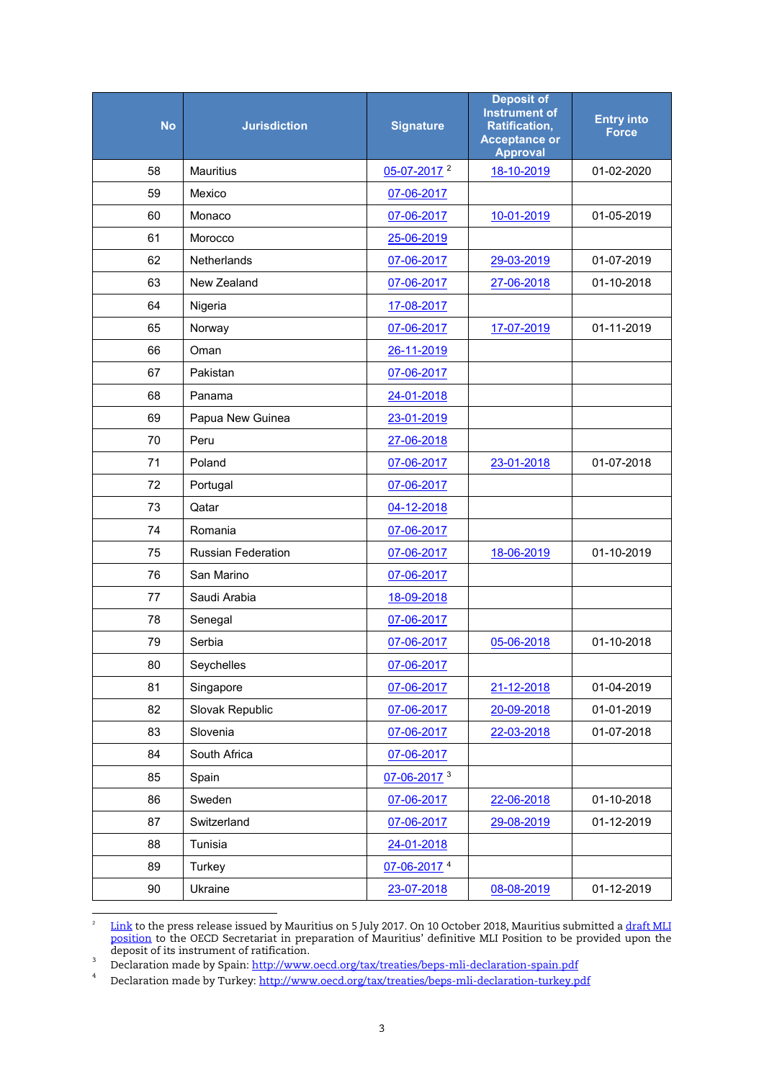| <b>No</b> | <b>Jurisdiction</b>       | <b>Signature</b>        | <b>Deposit of</b><br><b>Instrument of</b><br><b>Ratification,</b><br><b>Acceptance or</b><br><b>Approval</b> | <b>Entry into</b><br><b>Force</b> |
|-----------|---------------------------|-------------------------|--------------------------------------------------------------------------------------------------------------|-----------------------------------|
| 58        | <b>Mauritius</b>          | 05-07-2017 <sup>2</sup> | 18-10-2019                                                                                                   | 01-02-2020                        |
| 59        | Mexico                    | 07-06-2017              |                                                                                                              |                                   |
| 60        | Monaco                    | 07-06-2017              | 10-01-2019                                                                                                   | 01-05-2019                        |
| 61        | Morocco                   | 25-06-2019              |                                                                                                              |                                   |
| 62        | <b>Netherlands</b>        | 07-06-2017              | 29-03-2019                                                                                                   | 01-07-2019                        |
| 63        | New Zealand               | 07-06-2017              | 27-06-2018                                                                                                   | 01-10-2018                        |
| 64        | Nigeria                   | 17-08-2017              |                                                                                                              |                                   |
| 65        | Norway                    | 07-06-2017              | 17-07-2019                                                                                                   | 01-11-2019                        |
| 66        | Oman                      | 26-11-2019              |                                                                                                              |                                   |
| 67        | Pakistan                  | 07-06-2017              |                                                                                                              |                                   |
| 68        | Panama                    | 24-01-2018              |                                                                                                              |                                   |
| 69        | Papua New Guinea          | 23-01-2019              |                                                                                                              |                                   |
| 70        | Peru                      | 27-06-2018              |                                                                                                              |                                   |
| 71        | Poland                    | 07-06-2017              | 23-01-2018                                                                                                   | 01-07-2018                        |
| 72        | Portugal                  | 07-06-2017              |                                                                                                              |                                   |
| 73        | Qatar                     | 04-12-2018              |                                                                                                              |                                   |
| 74        | Romania                   | 07-06-2017              |                                                                                                              |                                   |
| 75        | <b>Russian Federation</b> | 07-06-2017              | 18-06-2019                                                                                                   | 01-10-2019                        |
| 76        | San Marino                | 07-06-2017              |                                                                                                              |                                   |
| 77        | Saudi Arabia              | 18-09-2018              |                                                                                                              |                                   |
| 78        | Senegal                   | 07-06-2017              |                                                                                                              |                                   |
| 79        | Serbia                    | 07-06-2017              | 05-06-2018                                                                                                   | 01-10-2018                        |
| 80        | Seychelles                | 07-06-2017              |                                                                                                              |                                   |
| 81        | Singapore                 | 07-06-2017              | 21-12-2018                                                                                                   | 01-04-2019                        |
| 82        | Slovak Republic           | 07-06-2017              | 20-09-2018                                                                                                   | 01-01-2019                        |
| 83        | Slovenia                  | 07-06-2017              | 22-03-2018                                                                                                   | 01-07-2018                        |
| 84        | South Africa              | 07-06-2017              |                                                                                                              |                                   |
| 85        | Spain                     | 07-06-2017 3            |                                                                                                              |                                   |
| 86        | Sweden                    | 07-06-2017              | 22-06-2018                                                                                                   | 01-10-2018                        |
| 87        | Switzerland               | 07-06-2017              | 29-08-2019                                                                                                   | 01-12-2019                        |
| 88        | Tunisia                   | 24-01-2018              |                                                                                                              |                                   |
| 89        | Turkey                    | 07-06-2017 4            |                                                                                                              |                                   |
| 90        | Ukraine                   | 23-07-2018              | 08-08-2019                                                                                                   | 01-12-2019                        |

<span id="page-2-0"></span> $\frac{1}{2}$ <u>[Link](http://mof.govmu.org/English/DOCUMENTS/COMMUNIQUE%20-MULTILATERAL%20CONVENTION%2005%2007%202017%20REVISED.PDF)</u> to the press release issued by Mauritius on 5 July 2017. On 10 October 2018, Mauritius submitted a <u>draft MLI</u> [position](http://www.oecd.org/tax/treaties/beps-mli-position-mauritius-draft.pdf) to the OECD Secretariat in preparation of Mauritius' definitive MLI Position to be provided upon the deposit of its instrument of ratification.

<span id="page-2-1"></span> Declaration made by Spain[: http://www.oecd.org/tax/treaties/beps-mli-declaration-spain.pdf](http://www.oecd.org/tax/treaties/beps-mli-declaration-spain.pdf)

<span id="page-2-2"></span> Declaration made by Turkey:<http://www.oecd.org/tax/treaties/beps-mli-declaration-turkey.pdf>